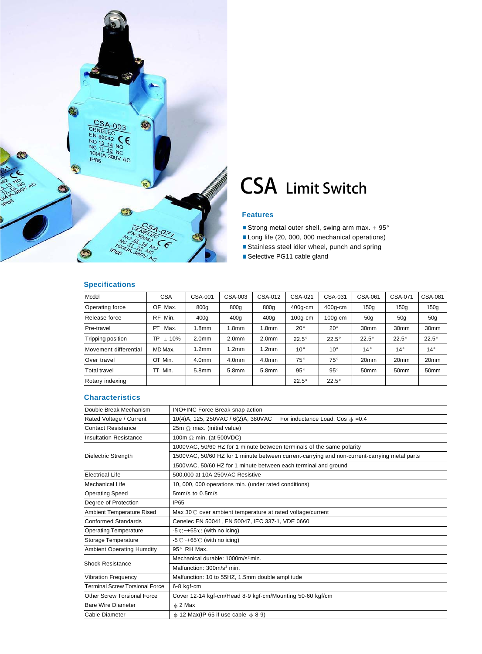

## CSA Limit Switch

#### **Features**

Strong metal outer shell, swing arm max.  $\pm$  95°

Long life (20, 000, 000 mechanical operations)

Stainless steel idler wheel, punch and spring

Selective PG11 cable gland

#### **Specifications**

| Model                 | <b>CSA</b>        | CSA-001           | CSA-003           | CSA-012           | <b>CSA-021</b> | CSA-031      | CSA-061          | CSA-071          | CSA-081          |
|-----------------------|-------------------|-------------------|-------------------|-------------------|----------------|--------------|------------------|------------------|------------------|
| Operating force       | OF<br>Max.        | 800g              | 800g              | 800g              | $400q$ -cm     | $400q$ -cm   | 150q             | 150q             | 150q             |
| Release force         | Min.<br><b>RF</b> | 400q              | 400 <sub>g</sub>  | 400g              | $100q$ -cm     | $100g$ -cm   | 50 <sub>g</sub>  | 50 <sub>g</sub>  | 50 <sub>g</sub>  |
| Pre-travel            | PT<br>Max.        | 1.8 <sub>mm</sub> | 1.8 <sub>mm</sub> | 1.8 <sub>mm</sub> | $20^{\circ}$   | $20^{\circ}$ | 30 <sub>mm</sub> | 30mm             | 30 <sub>mm</sub> |
| Tripping position     | ± 10%<br>TP       | 2.0 <sub>mm</sub> | 2.0 <sub>mm</sub> | 2.0 <sub>mm</sub> | $22.5^\circ$   | $22.5^\circ$ | $22.5^\circ$     | $22.5^\circ$     | $22.5^\circ$     |
| Movement differential | MD Max.           | 1.2 <sub>mm</sub> | 1.2 <sub>mm</sub> | 1.2 <sub>mm</sub> | $10^{\circ}$   | $10^{\circ}$ | $14^{\circ}$     | $14^{\circ}$     | $14^{\circ}$     |
| Over travel           | OT Min.           | 4.0 <sub>mm</sub> | 4.0 <sub>mm</sub> | 4.0 <sub>mm</sub> | $75^{\circ}$   | $75^{\circ}$ | 20 <sub>mm</sub> | 20mm             | 20 <sub>mm</sub> |
| <b>Total travel</b>   | TT Min.           | 5.8 <sub>mm</sub> | 5.8mm             | 5.8mm             | $95^{\circ}$   | $95^{\circ}$ | 50 <sub>mm</sub> | 50 <sub>mm</sub> | 50mm             |
| Rotary indexing       |                   |                   |                   |                   | $22.5^\circ$   | $22.5^\circ$ |                  |                  |                  |

#### **Characteristics**

| Double Break Mechanism                | INO+INC Force Break snap action                                                              |  |  |  |  |  |  |
|---------------------------------------|----------------------------------------------------------------------------------------------|--|--|--|--|--|--|
| Rated Voltage / Current               | For inductance Load, Cos $\phi = 0.4$<br>10(4)A, 125, 250VAC / 6(2)A, 380VAC                 |  |  |  |  |  |  |
| <b>Contact Resistance</b>             | 25m $\Omega$ max. (initial value)                                                            |  |  |  |  |  |  |
| <b>Insultation Resistance</b>         | 100m $\Omega$ min. (at 500VDC)                                                               |  |  |  |  |  |  |
|                                       | 1000VAC, 50/60 HZ for 1 minute between terminals of the same polarity                        |  |  |  |  |  |  |
| Dielectric Strength                   | 1500VAC, 50/60 HZ for 1 minute between current-carrying and non-current-carrying metal parts |  |  |  |  |  |  |
|                                       | 1500VAC, 50/60 HZ for 1 minute between each terminal and ground                              |  |  |  |  |  |  |
| <b>Electrical Life</b>                | 500,000 at 10A 250VAC Resistive                                                              |  |  |  |  |  |  |
| Mechanical Life                       | 10, 000, 000 operations min. (under rated conditions)                                        |  |  |  |  |  |  |
| <b>Operating Speed</b>                | $5mm/s$ to $0.5m/s$                                                                          |  |  |  |  |  |  |
| Degree of Protection                  | <b>IP65</b>                                                                                  |  |  |  |  |  |  |
| Ambient Temperature Rised             | Max 30°C over ambient temperature at rated voltage/current                                   |  |  |  |  |  |  |
| Conformed Standards                   | Cenelec EN 50041, EN 50047, IEC 337-1, VDE 0660                                              |  |  |  |  |  |  |
| <b>Operating Temperature</b>          | $-5^\circ$ C ~ +65 $\circ$ C (with no icing)                                                 |  |  |  |  |  |  |
| <b>Storage Temperature</b>            | $-5^\circ$ C ~ +65 $\degree$ C (with no icing)                                               |  |  |  |  |  |  |
| <b>Ambient Operating Humdity</b>      | $95^\circ$ RH Max.                                                                           |  |  |  |  |  |  |
| <b>Shock Resistance</b>               | Mechanical durable: 1000m/s <sup>2</sup> min.                                                |  |  |  |  |  |  |
|                                       | Malfunction: 300m/s <sup>2</sup> min.                                                        |  |  |  |  |  |  |
| <b>Vibration Frequency</b>            | Malfunction: 10 to 55HZ, 1.5mm double amplitude                                              |  |  |  |  |  |  |
| <b>Terminal Screw Torsional Force</b> | 6-8 kgf-cm                                                                                   |  |  |  |  |  |  |
| <b>Other Screw Torsional Force</b>    | Cover 12-14 kgf-cm/Head 8-9 kgf-cm/Mounting 50-60 kgf/cm                                     |  |  |  |  |  |  |
| <b>Bare Wire Diameter</b>             | $\phi$ 2 Max                                                                                 |  |  |  |  |  |  |
| Cable Diameter                        | $\phi$ 12 Max(IP 65 if use cable $\phi$ 8-9)                                                 |  |  |  |  |  |  |